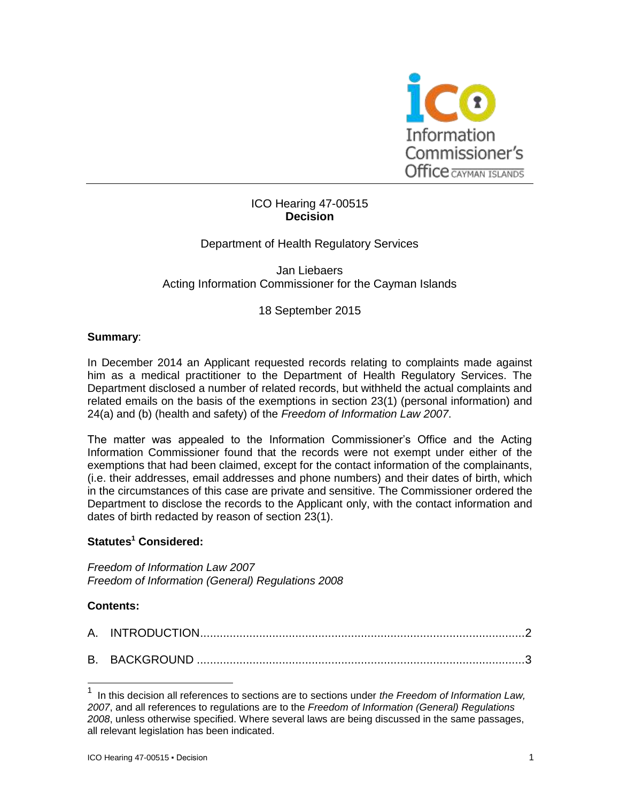

## ICO Hearing 47-00515 **Decision**

## Department of Health Regulatory Services

Jan Liebaers Acting Information Commissioner for the Cayman Islands

## 18 September 2015

### **Summary**:

In December 2014 an Applicant requested records relating to complaints made against him as a medical practitioner to the Department of Health Regulatory Services. The Department disclosed a number of related records, but withheld the actual complaints and related emails on the basis of the exemptions in section 23(1) (personal information) and 24(a) and (b) (health and safety) of the *Freedom of Information Law 2007*.

The matter was appealed to the Information Commissioner's Office and the Acting Information Commissioner found that the records were not exempt under either of the exemptions that had been claimed, except for the contact information of the complainants, (i.e. their addresses, email addresses and phone numbers) and their dates of birth, which in the circumstances of this case are private and sensitive. The Commissioner ordered the Department to disclose the records to the Applicant only, with the contact information and dates of birth redacted by reason of section 23(1).

## **Statutes<sup>1</sup> Considered:**

*Freedom of Information Law 2007 Freedom of Information (General) Regulations 2008*

### **Contents:**

l

<sup>1</sup> In this decision all references to sections are to sections under *the Freedom of Information Law, 2007*, and all references to regulations are to the *Freedom of Information (General) Regulations 2008*, unless otherwise specified. Where several laws are being discussed in the same passages, all relevant legislation has been indicated.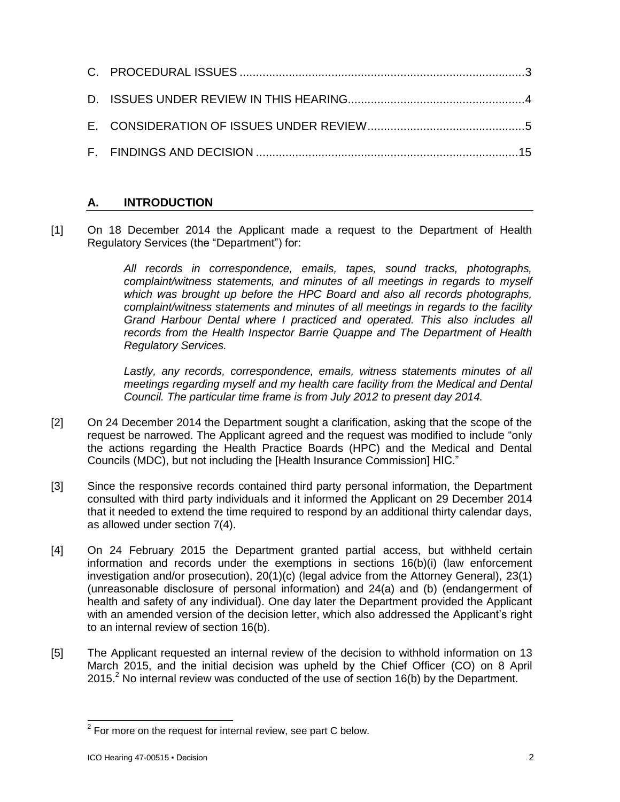# **A. INTRODUCTION**

[1] On 18 December 2014 the Applicant made a request to the Department of Health Regulatory Services (the "Department") for:

> *All records in correspondence, emails, tapes, sound tracks, photographs, complaint/witness statements, and minutes of all meetings in regards to myself which was brought up before the HPC Board and also all records photographs, complaint/witness statements and minutes of all meetings in regards to the facility Grand Harbour Dental where I practiced and operated. This also includes all records from the Health Inspector Barrie Quappe and The Department of Health Regulatory Services.*

> Lastly, any records, correspondence, emails, witness statements minutes of all *meetings regarding myself and my health care facility from the Medical and Dental Council. The particular time frame is from July 2012 to present day 2014.*

- [2] On 24 December 2014 the Department sought a clarification, asking that the scope of the request be narrowed. The Applicant agreed and the request was modified to include "only the actions regarding the Health Practice Boards (HPC) and the Medical and Dental Councils (MDC), but not including the [Health Insurance Commission] HIC."
- [3] Since the responsive records contained third party personal information, the Department consulted with third party individuals and it informed the Applicant on 29 December 2014 that it needed to extend the time required to respond by an additional thirty calendar days, as allowed under section 7(4).
- [4] On 24 February 2015 the Department granted partial access, but withheld certain information and records under the exemptions in sections 16(b)(i) (law enforcement investigation and/or prosecution), 20(1)(c) (legal advice from the Attorney General), 23(1) (unreasonable disclosure of personal information) and 24(a) and (b) (endangerment of health and safety of any individual). One day later the Department provided the Applicant with an amended version of the decision letter, which also addressed the Applicant's right to an internal review of section 16(b).
- [5] The Applicant requested an internal review of the decision to withhold information on 13 March 2015, and the initial decision was upheld by the Chief Officer (CO) on 8 April  $2015<sup>2</sup>$  No internal review was conducted of the use of section 16(b) by the Department.

<sup>&</sup>lt;u>2</u><br><sup>2</sup> For more on the request for internal review, see part C below.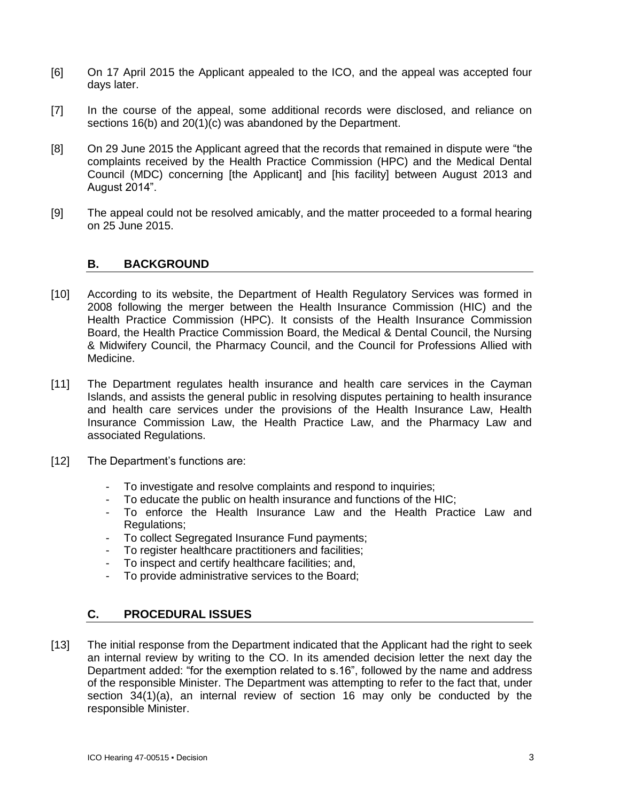- [6] On 17 April 2015 the Applicant appealed to the ICO, and the appeal was accepted four days later.
- [7] In the course of the appeal, some additional records were disclosed, and reliance on sections 16(b) and 20(1)(c) was abandoned by the Department.
- [8] On 29 June 2015 the Applicant agreed that the records that remained in dispute were "the complaints received by the Health Practice Commission (HPC) and the Medical Dental Council (MDC) concerning [the Applicant] and [his facility] between August 2013 and August 2014".
- [9] The appeal could not be resolved amicably, and the matter proceeded to a formal hearing on 25 June 2015.

### **B. BACKGROUND**

- [10] According to its website, the Department of Health Regulatory Services was formed in 2008 following the merger between the Health Insurance Commission (HIC) and the Health Practice Commission (HPC). It consists of the Health Insurance Commission Board, the Health Practice Commission Board, the Medical & Dental Council, the Nursing & Midwifery Council, the Pharmacy Council, and the Council for Professions Allied with Medicine.
- [11] The Department regulates health insurance and health care services in the Cayman Islands, and assists the general public in resolving disputes pertaining to health insurance and health care services under the provisions of the Health Insurance Law, Health Insurance Commission Law, the Health Practice Law, and the Pharmacy Law and associated Regulations.
- [12] The Department's functions are:
	- To investigate and resolve complaints and respond to inquiries;
	- To educate the public on health insurance and functions of the HIC;
	- To enforce the Health Insurance Law and the Health Practice Law and Regulations;
	- To collect Segregated Insurance Fund payments;
	- To register healthcare practitioners and facilities;
	- To inspect and certify healthcare facilities; and,
	- To provide administrative services to the Board;

### **C. PROCEDURAL ISSUES**

[13] The initial response from the Department indicated that the Applicant had the right to seek an internal review by writing to the CO. In its amended decision letter the next day the Department added: "for the exemption related to s.16", followed by the name and address of the responsible Minister. The Department was attempting to refer to the fact that, under section 34(1)(a), an internal review of section 16 may only be conducted by the responsible Minister.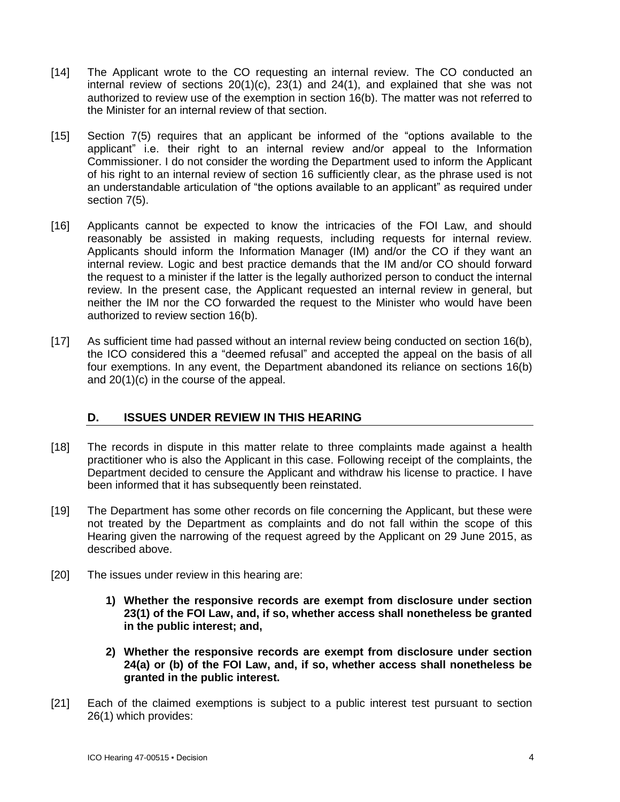- [14] The Applicant wrote to the CO requesting an internal review. The CO conducted an internal review of sections 20(1)(c), 23(1) and 24(1), and explained that she was not authorized to review use of the exemption in section 16(b). The matter was not referred to the Minister for an internal review of that section.
- [15] Section 7(5) requires that an applicant be informed of the "options available to the applicant" i.e. their right to an internal review and/or appeal to the Information Commissioner. I do not consider the wording the Department used to inform the Applicant of his right to an internal review of section 16 sufficiently clear, as the phrase used is not an understandable articulation of "the options available to an applicant" as required under section 7(5).
- [16] Applicants cannot be expected to know the intricacies of the FOI Law, and should reasonably be assisted in making requests, including requests for internal review. Applicants should inform the Information Manager (IM) and/or the CO if they want an internal review. Logic and best practice demands that the IM and/or CO should forward the request to a minister if the latter is the legally authorized person to conduct the internal review. In the present case, the Applicant requested an internal review in general, but neither the IM nor the CO forwarded the request to the Minister who would have been authorized to review section 16(b).
- [17] As sufficient time had passed without an internal review being conducted on section 16(b), the ICO considered this a "deemed refusal" and accepted the appeal on the basis of all four exemptions. In any event, the Department abandoned its reliance on sections 16(b) and 20(1)(c) in the course of the appeal.

## **D. ISSUES UNDER REVIEW IN THIS HEARING**

- [18] The records in dispute in this matter relate to three complaints made against a health practitioner who is also the Applicant in this case. Following receipt of the complaints, the Department decided to censure the Applicant and withdraw his license to practice. I have been informed that it has subsequently been reinstated.
- [19] The Department has some other records on file concerning the Applicant, but these were not treated by the Department as complaints and do not fall within the scope of this Hearing given the narrowing of the request agreed by the Applicant on 29 June 2015, as described above.
- [20] The issues under review in this hearing are:
	- **1) Whether the responsive records are exempt from disclosure under section 23(1) of the FOI Law, and, if so, whether access shall nonetheless be granted in the public interest; and,**
	- **2) Whether the responsive records are exempt from disclosure under section 24(a) or (b) of the FOI Law, and, if so, whether access shall nonetheless be granted in the public interest.**
- [21] Each of the claimed exemptions is subject to a public interest test pursuant to section 26(1) which provides: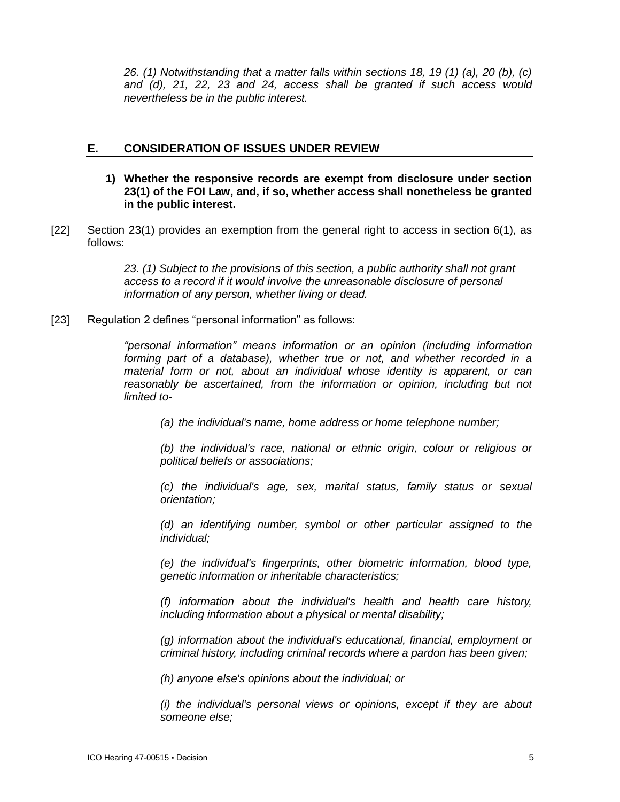*26. (1) Notwithstanding that a matter falls within sections 18, 19 (1) (a), 20 (b), (c) and (d), 21, 22, 23 and 24, access shall be granted if such access would nevertheless be in the public interest.*

### **E. CONSIDERATION OF ISSUES UNDER REVIEW**

- **1) Whether the responsive records are exempt from disclosure under section 23(1) of the FOI Law, and, if so, whether access shall nonetheless be granted in the public interest.**
- [22] Section 23(1) provides an exemption from the general right to access in section 6(1), as follows:

*23. (1) Subject to the provisions of this section, a public authority shall not grant access to a record if it would involve the unreasonable disclosure of personal information of any person, whether living or dead.*

[23] Regulation 2 defines "personal information" as follows:

*"personal information" means information or an opinion (including information forming part of a database), whether true or not, and whether recorded in a material form or not, about an individual whose identity is apparent, or can*  reasonably be ascertained, from the information or opinion, including but not *limited to-*

*(a) the individual's name, home address or home telephone number;*

*(b) the individual's race, national or ethnic origin, colour or religious or political beliefs or associations;*

*(c) the individual's age, sex, marital status, family status or sexual orientation;*

*(d) an identifying number, symbol or other particular assigned to the individual;*

*(e) the individual's fingerprints, other biometric information, blood type, genetic information or inheritable characteristics;*

*(f) information about the individual's health and health care history, including information about a physical or mental disability;*

*(g) information about the individual's educational, financial, employment or criminal history, including criminal records where a pardon has been given;*

*(h) anyone else's opinions about the individual; or*

*(i) the individual's personal views or opinions, except if they are about someone else;*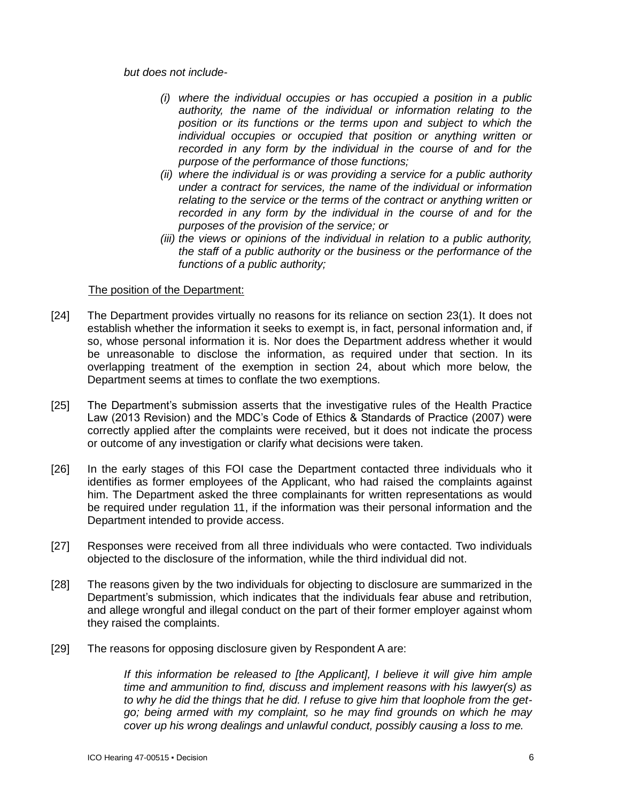*but does not include-*

- *(i) where the individual occupies or has occupied a position in a public authority, the name of the individual or information relating to the position or its functions or the terms upon and subject to which the individual occupies or occupied that position or anything written or recorded in any form by the individual in the course of and for the purpose of the performance of those functions;*
- *(ii) where the individual is or was providing a service for a public authority under a contract for services, the name of the individual or information relating to the service or the terms of the contract or anything written or recorded in any form by the individual in the course of and for the purposes of the provision of the service; or*
- *(iii) the views or opinions of the individual in relation to a public authority, the staff of a public authority or the business or the performance of the functions of a public authority;*

#### The position of the Department:

- [24] The Department provides virtually no reasons for its reliance on section 23(1). It does not establish whether the information it seeks to exempt is, in fact, personal information and, if so, whose personal information it is. Nor does the Department address whether it would be unreasonable to disclose the information, as required under that section. In its overlapping treatment of the exemption in section 24, about which more below, the Department seems at times to conflate the two exemptions.
- [25] The Department's submission asserts that the investigative rules of the Health Practice Law (2013 Revision) and the MDC's Code of Ethics & Standards of Practice (2007) were correctly applied after the complaints were received, but it does not indicate the process or outcome of any investigation or clarify what decisions were taken.
- [26] In the early stages of this FOI case the Department contacted three individuals who it identifies as former employees of the Applicant, who had raised the complaints against him. The Department asked the three complainants for written representations as would be required under regulation 11, if the information was their personal information and the Department intended to provide access.
- [27] Responses were received from all three individuals who were contacted. Two individuals objected to the disclosure of the information, while the third individual did not.
- [28] The reasons given by the two individuals for objecting to disclosure are summarized in the Department's submission, which indicates that the individuals fear abuse and retribution, and allege wrongful and illegal conduct on the part of their former employer against whom they raised the complaints.
- [29] The reasons for opposing disclosure given by Respondent A are:

*If this information be released to [the Applicant], I believe it will give him ample time and ammunition to find, discuss and implement reasons with his lawyer(s) as to why he did the things that he did. I refuse to give him that loophole from the getgo; being armed with my complaint, so he may find grounds on which he may cover up his wrong dealings and unlawful conduct, possibly causing a loss to me.*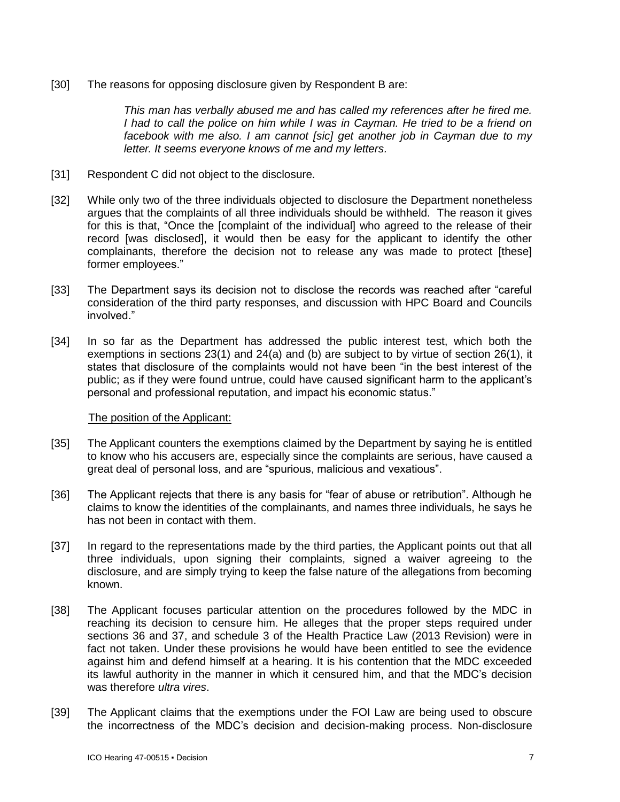[30] The reasons for opposing disclosure given by Respondent B are:

*This man has verbally abused me and has called my references after he fired me. I had to call the police on him while I was in Cayman. He tried to be a friend on facebook with me also. I am cannot [sic] get another job in Cayman due to my letter. It seems everyone knows of me and my letters.*

- [31] Respondent C did not object to the disclosure.
- [32] While only two of the three individuals objected to disclosure the Department nonetheless argues that the complaints of all three individuals should be withheld. The reason it gives for this is that, "Once the [complaint of the individual] who agreed to the release of their record [was disclosed], it would then be easy for the applicant to identify the other complainants, therefore the decision not to release any was made to protect [these] former employees."
- [33] The Department says its decision not to disclose the records was reached after "careful consideration of the third party responses, and discussion with HPC Board and Councils involved."
- [34] In so far as the Department has addressed the public interest test, which both the exemptions in sections 23(1) and 24(a) and (b) are subject to by virtue of section 26(1), it states that disclosure of the complaints would not have been "in the best interest of the public; as if they were found untrue, could have caused significant harm to the applicant's personal and professional reputation, and impact his economic status."

#### The position of the Applicant:

- [35] The Applicant counters the exemptions claimed by the Department by saying he is entitled to know who his accusers are, especially since the complaints are serious, have caused a great deal of personal loss, and are "spurious, malicious and vexatious".
- [36] The Applicant rejects that there is any basis for "fear of abuse or retribution". Although he claims to know the identities of the complainants, and names three individuals, he says he has not been in contact with them.
- [37] In regard to the representations made by the third parties, the Applicant points out that all three individuals, upon signing their complaints, signed a waiver agreeing to the disclosure, and are simply trying to keep the false nature of the allegations from becoming known.
- [38] The Applicant focuses particular attention on the procedures followed by the MDC in reaching its decision to censure him. He alleges that the proper steps required under sections 36 and 37, and schedule 3 of the Health Practice Law (2013 Revision) were in fact not taken. Under these provisions he would have been entitled to see the evidence against him and defend himself at a hearing. It is his contention that the MDC exceeded its lawful authority in the manner in which it censured him, and that the MDC's decision was therefore *ultra vires*.
- [39] The Applicant claims that the exemptions under the FOI Law are being used to obscure the incorrectness of the MDC's decision and decision-making process. Non-disclosure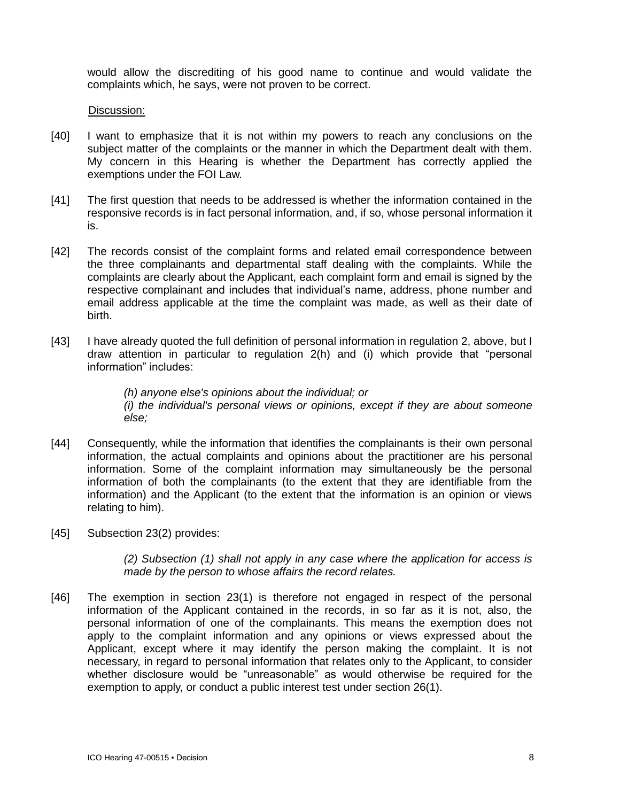would allow the discrediting of his good name to continue and would validate the complaints which, he says, were not proven to be correct.

#### Discussion:

- [40] I want to emphasize that it is not within my powers to reach any conclusions on the subject matter of the complaints or the manner in which the Department dealt with them. My concern in this Hearing is whether the Department has correctly applied the exemptions under the FOI Law.
- [41] The first question that needs to be addressed is whether the information contained in the responsive records is in fact personal information, and, if so, whose personal information it is.
- [42] The records consist of the complaint forms and related email correspondence between the three complainants and departmental staff dealing with the complaints. While the complaints are clearly about the Applicant, each complaint form and email is signed by the respective complainant and includes that individual's name, address, phone number and email address applicable at the time the complaint was made, as well as their date of birth.
- [43] I have already quoted the full definition of personal information in regulation 2, above, but I draw attention in particular to regulation 2(h) and (i) which provide that "personal information" includes:

*(h) anyone else's opinions about the individual; or (i) the individual's personal views or opinions, except if they are about someone else;*

- [44] Consequently, while the information that identifies the complainants is their own personal information, the actual complaints and opinions about the practitioner are his personal information. Some of the complaint information may simultaneously be the personal information of both the complainants (to the extent that they are identifiable from the information) and the Applicant (to the extent that the information is an opinion or views relating to him).
- [45] Subsection 23(2) provides:

*(2) Subsection (1) shall not apply in any case where the application for access is made by the person to whose affairs the record relates.*

[46] The exemption in section 23(1) is therefore not engaged in respect of the personal information of the Applicant contained in the records, in so far as it is not, also, the personal information of one of the complainants. This means the exemption does not apply to the complaint information and any opinions or views expressed about the Applicant, except where it may identify the person making the complaint. It is not necessary, in regard to personal information that relates only to the Applicant, to consider whether disclosure would be "unreasonable" as would otherwise be required for the exemption to apply, or conduct a public interest test under section 26(1).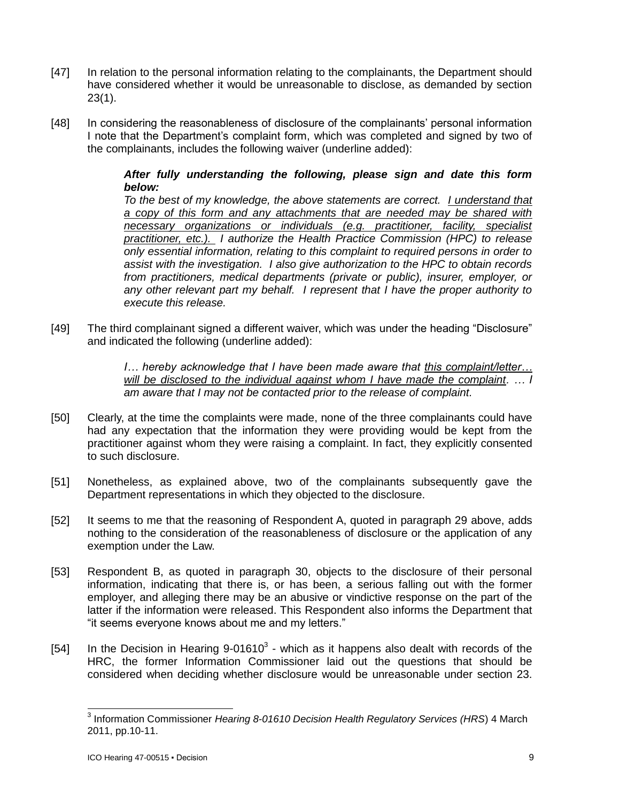- [47] In relation to the personal information relating to the complainants, the Department should have considered whether it would be unreasonable to disclose, as demanded by section 23(1).
- [48] In considering the reasonableness of disclosure of the complainants' personal information I note that the Department's complaint form, which was completed and signed by two of the complainants, includes the following waiver (underline added):

### *After fully understanding the following, please sign and date this form below:*

*To the best of my knowledge, the above statements are correct. I understand that a copy of this form and any attachments that are needed may be shared with necessary organizations or individuals (e.g. practitioner, facility, specialist practitioner, etc.). I authorize the Health Practice Commission (HPC) to release only essential information, relating to this complaint to required persons in order to assist with the investigation. I also give authorization to the HPC to obtain records from practitioners, medical departments (private or public), insurer, employer, or any other relevant part my behalf. I represent that I have the proper authority to execute this release.* 

[49] The third complainant signed a different waiver, which was under the heading "Disclosure" and indicated the following (underline added):

> *I… hereby acknowledge that I have been made aware that this complaint/letter… will be disclosed to the individual against whom I have made the complaint. … I am aware that I may not be contacted prior to the release of complaint.*

- [50] Clearly, at the time the complaints were made, none of the three complainants could have had any expectation that the information they were providing would be kept from the practitioner against whom they were raising a complaint. In fact, they explicitly consented to such disclosure.
- [51] Nonetheless, as explained above, two of the complainants subsequently gave the Department representations in which they objected to the disclosure.
- [52] It seems to me that the reasoning of Respondent A, quoted in paragraph 29 above, adds nothing to the consideration of the reasonableness of disclosure or the application of any exemption under the Law.
- [53] Respondent B, as quoted in paragraph 30, objects to the disclosure of their personal information, indicating that there is, or has been, a serious falling out with the former employer, and alleging there may be an abusive or vindictive response on the part of the latter if the information were released. This Respondent also informs the Department that "it seems everyone knows about me and my letters."
- [54] In the Decision in Hearing  $9-01610<sup>3</sup>$  which as it happens also dealt with records of the HRC, the former Information Commissioner laid out the questions that should be considered when deciding whether disclosure would be unreasonable under section 23.

 3 Information Commissioner *Hearing 8-01610 Decision Health Regulatory Services (HRS*) 4 March 2011, pp.10-11.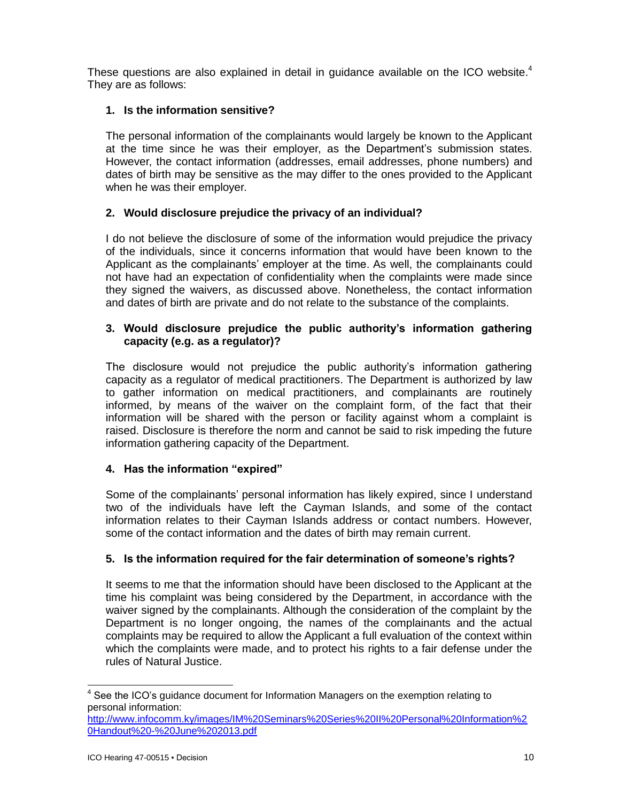These questions are also explained in detail in guidance available on the ICO website. $4$ They are as follows:

## **1. Is the information sensitive?**

The personal information of the complainants would largely be known to the Applicant at the time since he was their employer, as the Department's submission states. However, the contact information (addresses, email addresses, phone numbers) and dates of birth may be sensitive as the may differ to the ones provided to the Applicant when he was their employer.

## **2. Would disclosure prejudice the privacy of an individual?**

I do not believe the disclosure of some of the information would prejudice the privacy of the individuals, since it concerns information that would have been known to the Applicant as the complainants' employer at the time. As well, the complainants could not have had an expectation of confidentiality when the complaints were made since they signed the waivers, as discussed above. Nonetheless, the contact information and dates of birth are private and do not relate to the substance of the complaints.

### **3. Would disclosure prejudice the public authority's information gathering capacity (e.g. as a regulator)?**

The disclosure would not prejudice the public authority's information gathering capacity as a regulator of medical practitioners. The Department is authorized by law to gather information on medical practitioners, and complainants are routinely informed, by means of the waiver on the complaint form, of the fact that their information will be shared with the person or facility against whom a complaint is raised. Disclosure is therefore the norm and cannot be said to risk impeding the future information gathering capacity of the Department.

## **4. Has the information "expired"**

Some of the complainants' personal information has likely expired, since I understand two of the individuals have left the Cayman Islands, and some of the contact information relates to their Cayman Islands address or contact numbers. However, some of the contact information and the dates of birth may remain current.

### **5. Is the information required for the fair determination of someone's rights?**

It seems to me that the information should have been disclosed to the Applicant at the time his complaint was being considered by the Department, in accordance with the waiver signed by the complainants. Although the consideration of the complaint by the Department is no longer ongoing, the names of the complainants and the actual complaints may be required to allow the Applicant a full evaluation of the context within which the complaints were made, and to protect his rights to a fair defense under the rules of Natural Justice.

**EXECUTE:**<br>4 See the ICO's guidance document for Information Managers on the exemption relating to personal information:

[http://www.infocomm.ky/images/IM%20Seminars%20Series%20II%20Personal%20Information%2](http://www.infocomm.ky/images/IM%20Seminars%20Series%20II%20Personal%20Information%20Handout%20-%20June%202013.pdf) [0Handout%20-%20June%202013.pdf](http://www.infocomm.ky/images/IM%20Seminars%20Series%20II%20Personal%20Information%20Handout%20-%20June%202013.pdf)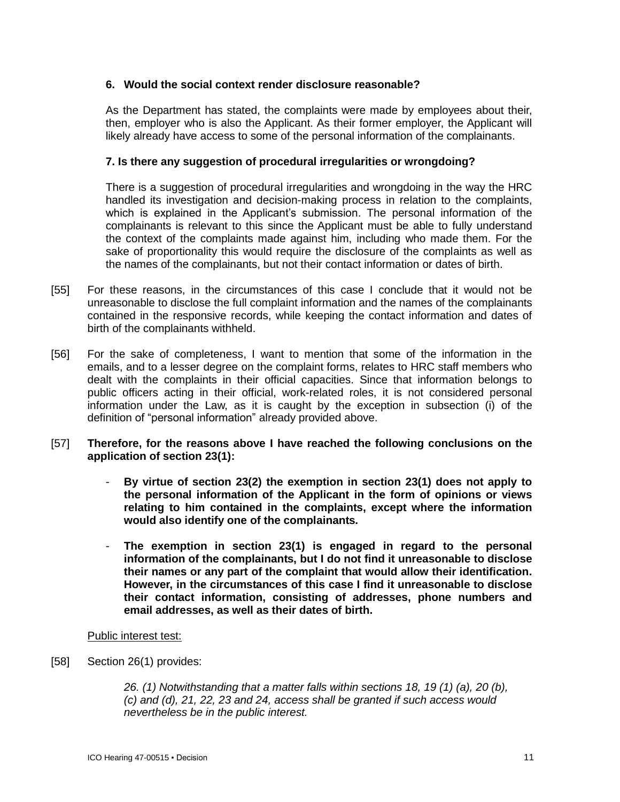### **6. Would the social context render disclosure reasonable?**

As the Department has stated, the complaints were made by employees about their, then, employer who is also the Applicant. As their former employer, the Applicant will likely already have access to some of the personal information of the complainants.

### **7. Is there any suggestion of procedural irregularities or wrongdoing?**

There is a suggestion of procedural irregularities and wrongdoing in the way the HRC handled its investigation and decision-making process in relation to the complaints, which is explained in the Applicant's submission. The personal information of the complainants is relevant to this since the Applicant must be able to fully understand the context of the complaints made against him, including who made them. For the sake of proportionality this would require the disclosure of the complaints as well as the names of the complainants, but not their contact information or dates of birth.

- [55] For these reasons, in the circumstances of this case I conclude that it would not be unreasonable to disclose the full complaint information and the names of the complainants contained in the responsive records, while keeping the contact information and dates of birth of the complainants withheld.
- [56] For the sake of completeness, I want to mention that some of the information in the emails, and to a lesser degree on the complaint forms, relates to HRC staff members who dealt with the complaints in their official capacities. Since that information belongs to public officers acting in their official, work-related roles, it is not considered personal information under the Law, as it is caught by the exception in subsection (i) of the definition of "personal information" already provided above.
- [57] **Therefore, for the reasons above I have reached the following conclusions on the application of section 23(1):**
	- **By virtue of section 23(2) the exemption in section 23(1) does not apply to the personal information of the Applicant in the form of opinions or views relating to him contained in the complaints, except where the information would also identify one of the complainants.**
	- The exemption in section 23(1) is engaged in regard to the personal **information of the complainants, but I do not find it unreasonable to disclose their names or any part of the complaint that would allow their identification. However, in the circumstances of this case I find it unreasonable to disclose their contact information, consisting of addresses, phone numbers and email addresses, as well as their dates of birth.**

#### Public interest test:

[58] Section 26(1) provides:

*26. (1) Notwithstanding that a matter falls within sections 18, 19 (1) (a), 20 (b), (c) and (d), 21, 22, 23 and 24, access shall be granted if such access would nevertheless be in the public interest.*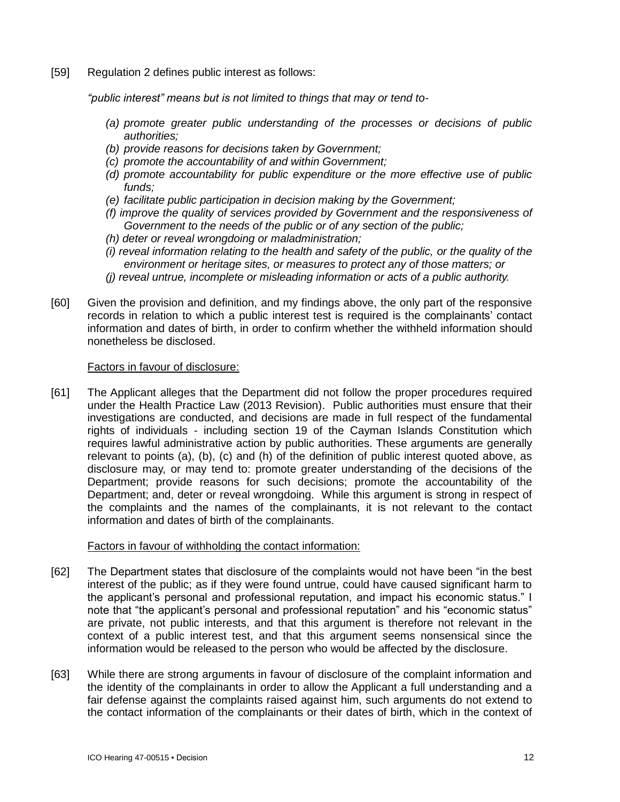[59] Regulation 2 defines public interest as follows:

*"public interest" means but is not limited to things that may or tend to-*

- *(a) promote greater public understanding of the processes or decisions of public authorities;*
- *(b) provide reasons for decisions taken by Government;*
- *(c) promote the accountability of and within Government;*
- *(d) promote accountability for public expenditure or the more effective use of public funds;*
- *(e) facilitate public participation in decision making by the Government;*
- *(f) improve the quality of services provided by Government and the responsiveness of Government to the needs of the public or of any section of the public;*
- *(h) deter or reveal wrongdoing or maladministration;*
- *(i) reveal information relating to the health and safety of the public, or the quality of the environment or heritage sites, or measures to protect any of those matters; or*
- *(j) reveal untrue, incomplete or misleading information or acts of a public authority.*
- [60] Given the provision and definition, and my findings above, the only part of the responsive records in relation to which a public interest test is required is the complainants' contact information and dates of birth, in order to confirm whether the withheld information should nonetheless be disclosed.

### Factors in favour of disclosure:

[61] The Applicant alleges that the Department did not follow the proper procedures required under the Health Practice Law (2013 Revision). Public authorities must ensure that their investigations are conducted, and decisions are made in full respect of the fundamental rights of individuals - including section 19 of the Cayman Islands Constitution which requires lawful administrative action by public authorities. These arguments are generally relevant to points (a), (b), (c) and (h) of the definition of public interest quoted above, as disclosure may, or may tend to: promote greater understanding of the decisions of the Department; provide reasons for such decisions; promote the accountability of the Department; and, deter or reveal wrongdoing. While this argument is strong in respect of the complaints and the names of the complainants, it is not relevant to the contact information and dates of birth of the complainants.

#### Factors in favour of withholding the contact information:

- [62] The Department states that disclosure of the complaints would not have been "in the best interest of the public; as if they were found untrue, could have caused significant harm to the applicant's personal and professional reputation, and impact his economic status." I note that "the applicant's personal and professional reputation" and his "economic status" are private, not public interests, and that this argument is therefore not relevant in the context of a public interest test, and that this argument seems nonsensical since the information would be released to the person who would be affected by the disclosure.
- [63] While there are strong arguments in favour of disclosure of the complaint information and the identity of the complainants in order to allow the Applicant a full understanding and a fair defense against the complaints raised against him, such arguments do not extend to the contact information of the complainants or their dates of birth, which in the context of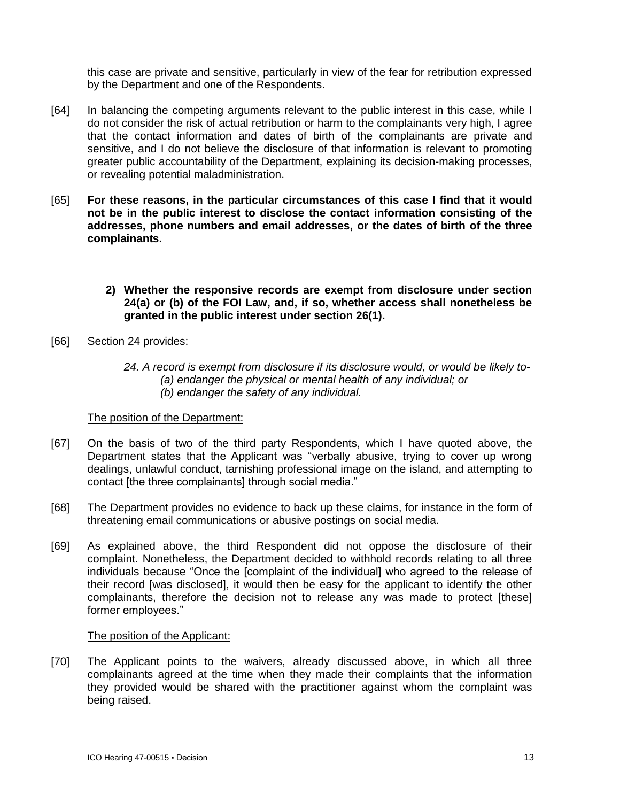this case are private and sensitive, particularly in view of the fear for retribution expressed by the Department and one of the Respondents.

- [64] In balancing the competing arguments relevant to the public interest in this case, while I do not consider the risk of actual retribution or harm to the complainants very high, I agree that the contact information and dates of birth of the complainants are private and sensitive, and I do not believe the disclosure of that information is relevant to promoting greater public accountability of the Department, explaining its decision-making processes, or revealing potential maladministration.
- [65] **For these reasons, in the particular circumstances of this case I find that it would not be in the public interest to disclose the contact information consisting of the addresses, phone numbers and email addresses, or the dates of birth of the three complainants.** 
	- **2) Whether the responsive records are exempt from disclosure under section 24(a) or (b) of the FOI Law, and, if so, whether access shall nonetheless be granted in the public interest under section 26(1).**
- [66] Section 24 provides:
	- *24. A record is exempt from disclosure if its disclosure would, or would be likely to- (a) endanger the physical or mental health of any individual; or (b) endanger the safety of any individual.*

#### The position of the Department:

- [67] On the basis of two of the third party Respondents, which I have quoted above, the Department states that the Applicant was "verbally abusive, trying to cover up wrong dealings, unlawful conduct, tarnishing professional image on the island, and attempting to contact [the three complainants] through social media."
- [68] The Department provides no evidence to back up these claims, for instance in the form of threatening email communications or abusive postings on social media.
- [69] As explained above, the third Respondent did not oppose the disclosure of their complaint. Nonetheless, the Department decided to withhold records relating to all three individuals because "Once the [complaint of the individual] who agreed to the release of their record [was disclosed], it would then be easy for the applicant to identify the other complainants, therefore the decision not to release any was made to protect [these] former employees."

#### The position of the Applicant:

[70] The Applicant points to the waivers, already discussed above, in which all three complainants agreed at the time when they made their complaints that the information they provided would be shared with the practitioner against whom the complaint was being raised.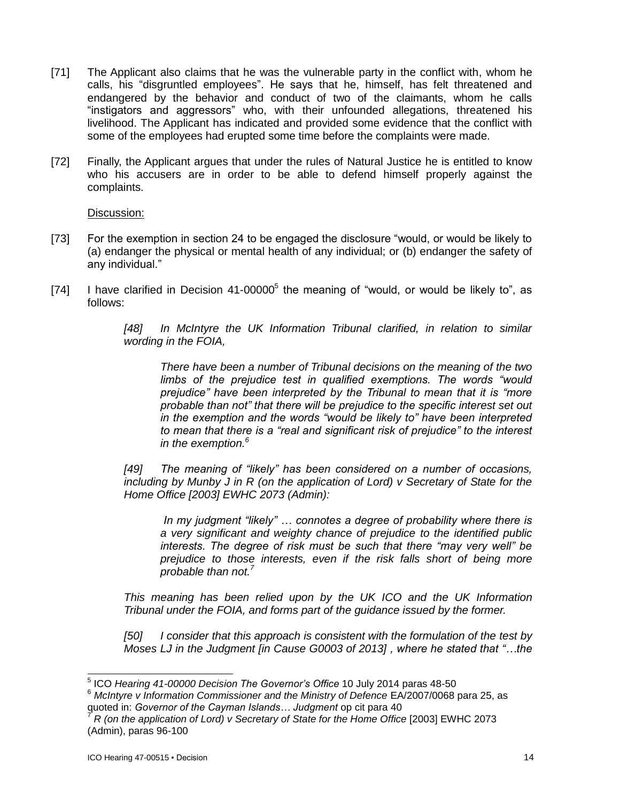- [71] The Applicant also claims that he was the vulnerable party in the conflict with, whom he calls, his "disgruntled employees". He says that he, himself, has felt threatened and endangered by the behavior and conduct of two of the claimants, whom he calls "instigators and aggressors" who, with their unfounded allegations, threatened his livelihood. The Applicant has indicated and provided some evidence that the conflict with some of the employees had erupted some time before the complaints were made.
- [72] Finally, the Applicant argues that under the rules of Natural Justice he is entitled to know who his accusers are in order to be able to defend himself properly against the complaints.

Discussion:

- [73] For the exemption in section 24 to be engaged the disclosure "would, or would be likely to (a) endanger the physical or mental health of any individual; or (b) endanger the safety of any individual."
- [74] I have clarified in Decision 41-00000<sup>5</sup> the meaning of "would, or would be likely to", as follows:

*[48] In McIntyre the UK Information Tribunal clarified, in relation to similar wording in the FOIA,* 

*There have been a number of Tribunal decisions on the meaning of the two limbs of the prejudice test in qualified exemptions. The words "would prejudice" have been interpreted by the Tribunal to mean that it is "more probable than not" that there will be prejudice to the specific interest set out in the exemption and the words "would be likely to" have been interpreted to mean that there is a "real and significant risk of prejudice" to the interest in the exemption.<sup>6</sup>*

*[49] The meaning of "likely" has been considered on a number of occasions, including by Munby J in R (on the application of Lord) v Secretary of State for the Home Office [2003] EWHC 2073 (Admin):*

*In my judgment "likely" … connotes a degree of probability where there is a very significant and weighty chance of prejudice to the identified public interests. The degree of risk must be such that there "may very well" be prejudice to those interests, even if the risk falls short of being more probable than not.<sup>7</sup>*

*This meaning has been relied upon by the UK ICO and the UK Information Tribunal under the FOIA, and forms part of the guidance issued by the former.* 

*[50] I consider that this approach is consistent with the formulation of the test by Moses LJ in the Judgment [in Cause G0003 of 2013] , where he stated that "…the* 

 5 ICO *Hearing 41-00000 Decision The Governor's Office* 10 July 2014 paras 48-50

<sup>6</sup> *McIntyre v Information Commissioner and the Ministry of Defence* EA/2007/0068 para 25, as quoted in: *Governor of the Cayman Islands… Judgment* op cit para 40

<sup>7</sup> *R (on the application of Lord) v Secretary of State for the Home Office* [2003] EWHC 2073 (Admin), paras 96-100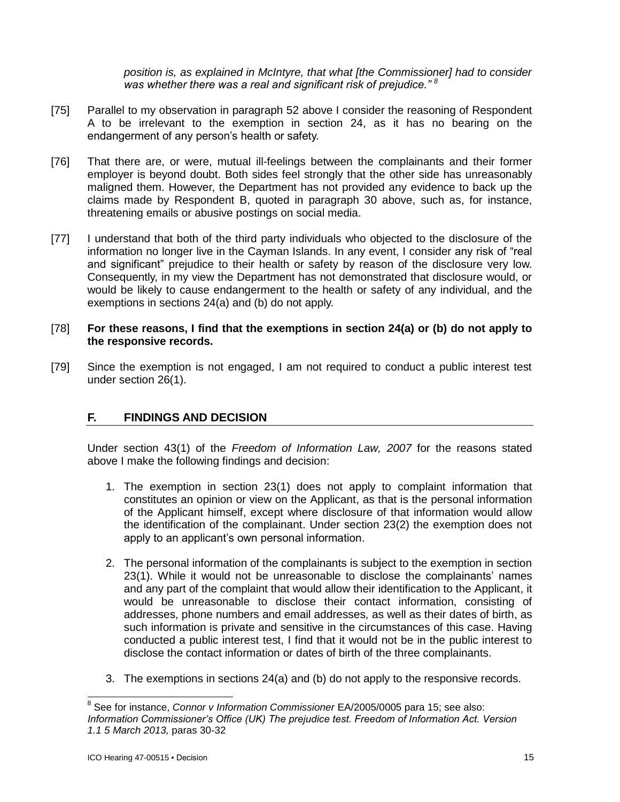*position is, as explained in McIntyre, that what [the Commissioner] had to consider was whether there was a real and significant risk of prejudice." <sup>8</sup>* 

- [75] Parallel to my observation in paragraph 52 above I consider the reasoning of Respondent A to be irrelevant to the exemption in section 24, as it has no bearing on the endangerment of any person's health or safety.
- [76] That there are, or were, mutual ill-feelings between the complainants and their former employer is beyond doubt. Both sides feel strongly that the other side has unreasonably maligned them. However, the Department has not provided any evidence to back up the claims made by Respondent B, quoted in paragraph 30 above, such as, for instance, threatening emails or abusive postings on social media.
- [77] I understand that both of the third party individuals who objected to the disclosure of the information no longer live in the Cayman Islands. In any event, I consider any risk of "real and significant" prejudice to their health or safety by reason of the disclosure very low. Consequently, in my view the Department has not demonstrated that disclosure would, or would be likely to cause endangerment to the health or safety of any individual, and the exemptions in sections 24(a) and (b) do not apply.

#### [78] **For these reasons, I find that the exemptions in section 24(a) or (b) do not apply to the responsive records.**

[79] Since the exemption is not engaged, I am not required to conduct a public interest test under section 26(1).

## **F. FINDINGS AND DECISION**

Under section 43(1) of the *Freedom of Information Law, 2007* for the reasons stated above I make the following findings and decision:

- 1. The exemption in section 23(1) does not apply to complaint information that constitutes an opinion or view on the Applicant, as that is the personal information of the Applicant himself, except where disclosure of that information would allow the identification of the complainant. Under section 23(2) the exemption does not apply to an applicant's own personal information.
- 2. The personal information of the complainants is subject to the exemption in section 23(1). While it would not be unreasonable to disclose the complainants' names and any part of the complaint that would allow their identification to the Applicant, it would be unreasonable to disclose their contact information, consisting of addresses, phone numbers and email addresses, as well as their dates of birth, as such information is private and sensitive in the circumstances of this case. Having conducted a public interest test, I find that it would not be in the public interest to disclose the contact information or dates of birth of the three complainants.
- 3. The exemptions in sections 24(a) and (b) do not apply to the responsive records.

 $\overline{a}$ 

<sup>8</sup> See for instance, *Connor v Information Commissioner* EA/2005/0005 para 15; see also: *Information Commissioner's Office (UK) The prejudice test. Freedom of Information Act. Version 1.1 5 March 2013,* paras 30-32